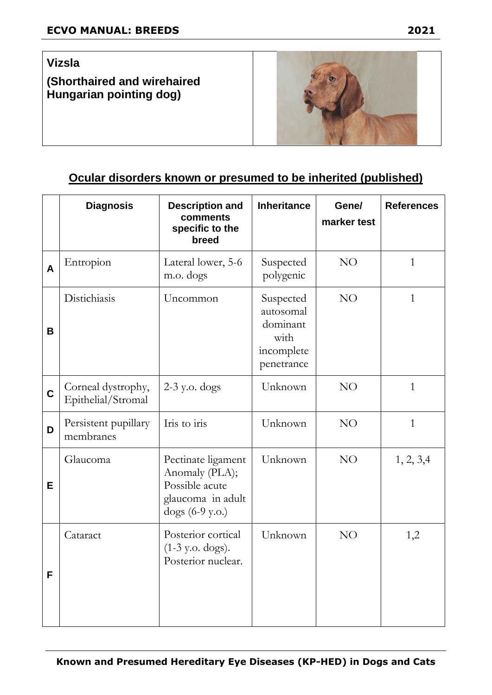**(Shorthaired and wirehaired Hungarian pointing dog)**



## **Ocular disorders known or presumed to be inherited (published)**

|             | <b>Diagnosis</b>                         | <b>Description and</b><br>comments<br>specific to the<br>breed                                 | <b>Inheritance</b>                                                     | Gene/<br>marker test | <b>References</b> |
|-------------|------------------------------------------|------------------------------------------------------------------------------------------------|------------------------------------------------------------------------|----------------------|-------------------|
| A           | Entropion                                | Lateral lower, 5-6<br>m.o. dogs                                                                | Suspected<br>polygenic                                                 | NO                   | $\mathbf{1}$      |
| В           | Distichiasis                             | Uncommon                                                                                       | Suspected<br>autosomal<br>dominant<br>with<br>incomplete<br>penetrance | NO                   | $\mathbf{1}$      |
| $\mathbf C$ | Corneal dystrophy,<br>Epithelial/Stromal | $2-3$ y.o. dogs                                                                                | Unknown                                                                | NO                   | $\mathbf{1}$      |
| D           | Persistent pupillary<br>membranes        | Iris to iris                                                                                   | Unknown                                                                | NO                   | $\mathbf{1}$      |
| E           | Glaucoma                                 | Pectinate ligament<br>Anomaly (PLA);<br>Possible acute<br>glaucoma in adult<br>dogs (6-9 y.o.) | Unknown                                                                | NO                   | 1, 2, 3, 4        |
| F           | Cataract                                 | Posterior cortical<br>$(1-3 \text{ y.o. dogs}).$<br>Posterior nuclear.                         | Unknown                                                                | NO                   | 1,2               |